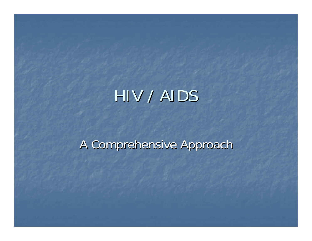### HIV / AIDS

#### A Comprehensive Approach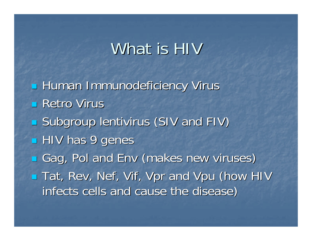### What is HIV

**Human Immunodeficiency Virus**  $\blacksquare$  Retro Virus **Subgroup lentivirus (SIV and FIV) HIV has 9 genes Gag, Pol and Env (makes new viruses) Tat, Rev, Nef, Vif, Vpr and Vpu (how HIV** infects cells and cause the disease)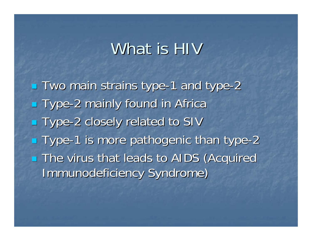### What is HIV

**- Two main strains type-1 and type** - $-2$ **- Type-2 mainly found in Africa Type-2 closely related to SIV - Type-1 is more pathogenic than type** - $-2$ **The virus that leads to AIDS (Acquired** Immunodeficiency Syndrome)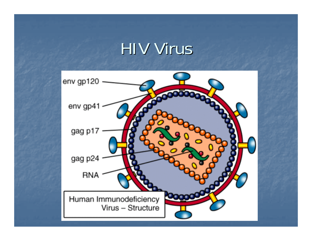### HIV Virus

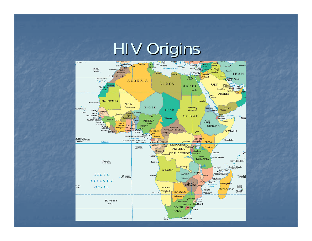## HIV Origins

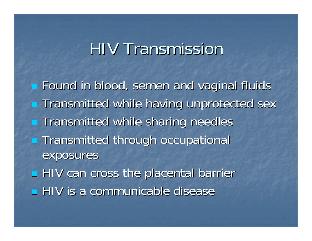### HIV Transmission

**Example 18 Found in blood, semen and vaginal fluids Transmitted while having unprotected sex Transmitted while sharing needles Transmitted through occupational** exposures HIV can cross the placental barrier **HIV** is a communicable disease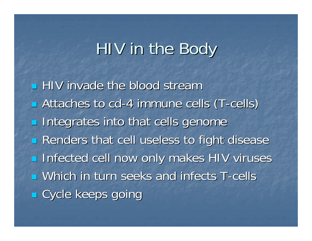### HIV in the Body

**HIV invade the blood stream** ■ Attaches to cd-4 immune cells (T-cells) **Integrates into that cells genome Renders that cell useless to fight disease Infected cell now only makes HIV viruses u** Which in turn seeks and infects T-cells **E** Cycle keeps going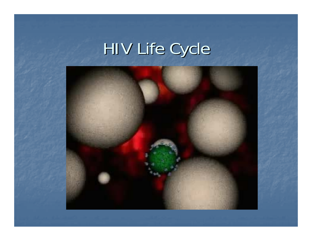# HIV Life Cycle

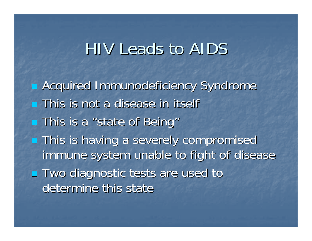### HIV Leads to AIDS

**B. Acquired Immunodeficiency Syndrome**  $\blacksquare$  This is not a disease in itself **This is a "state of Being" This is having a severely compromised** immune system unable to fight of disease **Two diagnostic tests are used to** determine this state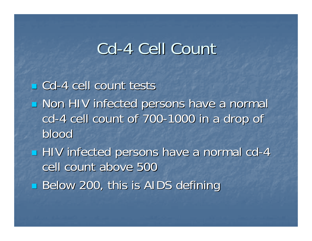### Cd-4 Cell Count

**E** Cd-4 cell count tests **Non HIV infected persons have a normal** cd-4 cell count of 700-1000 in a drop of bloodHIV infected persons have a normal cd-4 cell count above 500 Below 200, this is AIDS defining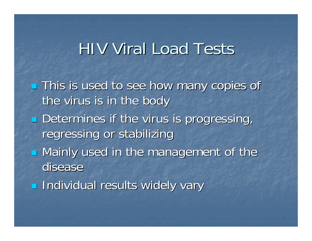### HIV Viral Load Tests

**This is used to see how many copies of** the virus is in the body  $\blacksquare$  Determines if the virus is progressing, regressing or stabilizing  $\blacksquare$  Mainly used in the management of the disease **Individual results widely vary**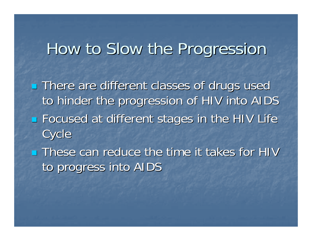### How to Slow the Progression

**There are different classes of drugs used There are different classes of drugs used** to hinder the progression of HIV into AIDS **Focused at different stages in the HIV Life Focused at different stages in the HIV Life Cycle**  $\blacksquare$  These can reduce the time it takes for HIV to progress into AIDS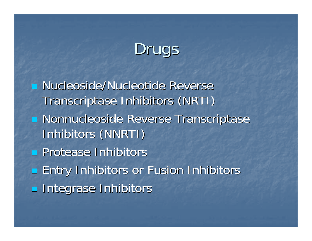### Drugs

**E Nucleoside/Nucleotide Reverse** Transcriptase Inhibitors (NRTI) **E Nonnucleoside Reverse Transcriptase** Inhibitors (NNRTI) **Protease Inhibitors Entry Inhibitors or Fusion Inhibitors Integrase Inhibitors**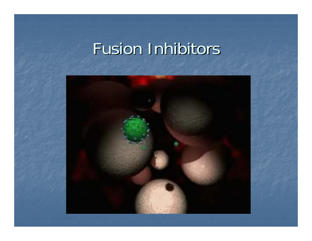### Fusion Inhibitors

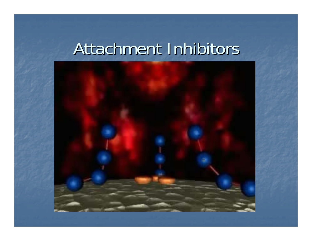### Attachment Inhibitors

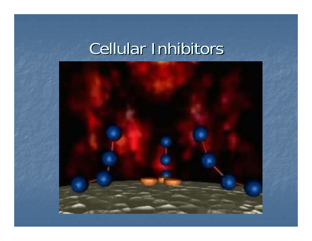### **Cellular Inhibitors**

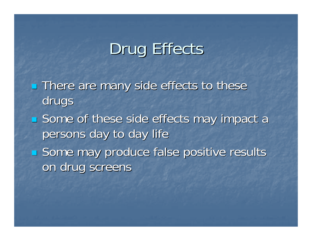### Drug Effects

**There are many side effects to these** drugs

- **Some of these side effects may impact a** persons day to day life
- **Some may produce false positive results** on drug screens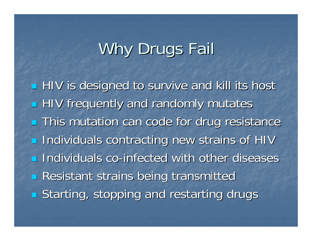### Why Drugs Fail

HIV is designed to survive and kill its host **HIV frequently and randomly mutates This mutation can code for drug resistance Individuals contracting new strains of HIV <u>u</u>** Individuals co-infected with other diseases **Resistant strains being transmitted Starting, stopping and restarting drugs**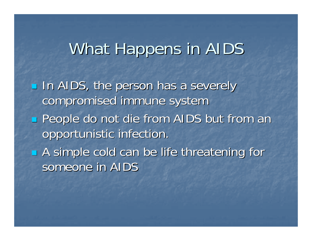### What Happens in AIDS

In AIDS, the person has a severely compromised immune system **People do not die from AIDS but from an** opportunistic infection. **A** simple cold can be life threatening for someone in AIDS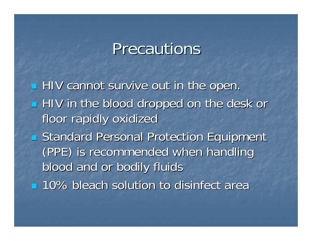### Precautions

HIV cannot survive out in the open. HIV in the blood dropped on the desk or floor rapidly oxidized **Standard Personal Protection Equipment** (PPE) is recommended when handling (PPE) is recommended when handling blood and or bodily fluids  $\blacksquare$  10% bleach solution to disinfect area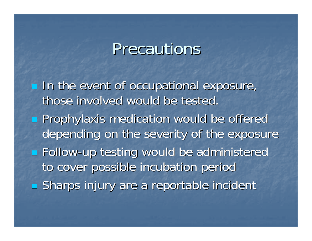### Precautions

**In the event of occupational exposure,** those involved would be tested. **Prophylaxis medication would be offered** depending on the severity of the exposure **Example 1** Follow-up testing would be administered to cover possible incubation period **Sharps injury are a reportable incident**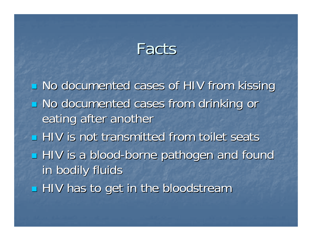### Facts

 $\blacksquare$  No documented cases of HIV from kissing  $\blacksquare$  No documented cases from drinking or eating after another **HIV** is not transmitted from toilet seats HIV is a blood-borne pathogen and found in bodily fluids HIV has to get in the bloodstream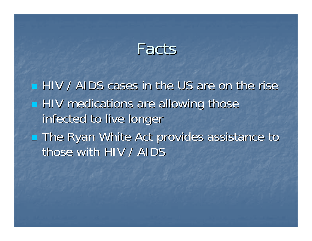### Facts

**HIV / AIDS cases in the US are on the rise** HIV medications are allowing those infected to live longer **The Ryan White Act provides assistance to** those with HIV / AIDS